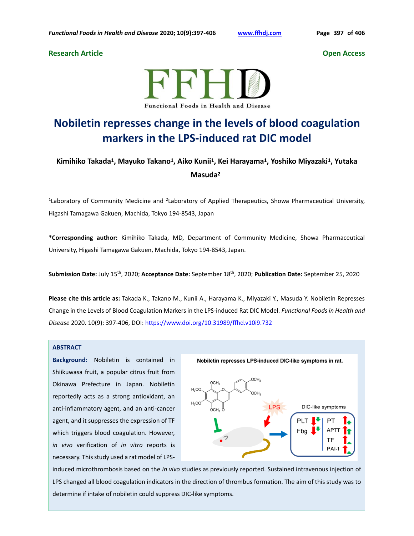## **Research Article Open Access**



# **Nobiletin represses change in the levels of blood coagulation markers in the LPS-induced rat DIC model**

# **Kimihiko Takada<sup>1</sup>, Mayuko Takano<sup>1</sup>, Aiko Kunii<sup>1</sup>, Kei Harayama<sup>1</sup>, Yoshiko Miyazaki<sup>1</sup>, Yutaka Masuda<sup>2</sup>**

<sup>1</sup>Laboratory of Community Medicine and <sup>2</sup>Laboratory of Applied Therapeutics, Showa Pharmaceutical University, Higashi Tamagawa Gakuen, Machida, Tokyo 194-8543, Japan

**\*Corresponding author:** Kimihiko Takada, MD, Department of Community Medicine, Showa Pharmaceutical University, Higashi Tamagawa Gakuen, Machida, Tokyo 194-8543, Japan.

**Submission Date:** July 15th, 2020; **Acceptance Date:** September 18th, 2020; **Publication Date:** September 25, 2020

**Please cite this article as:** Takada K., Takano M., Kunii A., Harayama K., Miyazaki Y., Masuda Y. Nobiletin Represses Change in the Levels of Blood Coagulation Markers in the LPS-induced Rat DIC Model. *Functional Foods in Health and Disease* 2020. 10(9): 397-406, DOI:<https://www.doi.org/10.31989/ffhd.v10i9.732>

### **ABSTRACT**

**Background:** Nobiletin is contained in Shiikuwasa fruit, a popular citrus fruit from Okinawa Prefecture in Japan. Nobiletin reportedly acts as a strong antioxidant, an anti-inflammatory agent, and an anti-cancer agent, and it suppresses the expression of TF which triggers blood coagulation. However, *in vivo* verification of *in vitro* reports is necessary. This study used a rat model of LPS-



induced microthrombosis based on the *in vivo* studies as previously reported. Sustained intravenous injection of LPS changed all blood coagulation indicators in the direction of thrombus formation. The aim of this study was to determine if intake of nobiletin could suppress DIC-like symptoms.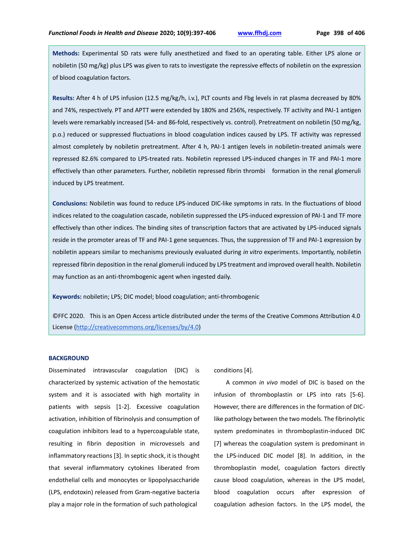**Methods:** Experimental SD rats were fully anesthetized and fixed to an operating table. Either LPS alone or nobiletin (50 mg/kg) plus LPS was given to rats to investigate the repressive effects of nobiletin on the expression of blood coagulation factors.

**Results:** After 4 h of LPS infusion (12.5 mg/kg/h, i.v.), PLT counts and Fbg levels in rat plasma decreased by 80% and 74%, respectively. PT and APTT were extended by 180% and 256%, respectively. TF activity and PAI-1 antigen levels were remarkably increased (54- and 86-fold, respectively vs. control). Pretreatment on nobiletin (50 mg/kg, p.o.) reduced or suppressed fluctuations in blood coagulation indices caused by LPS. TF activity was repressed almost completely by nobiletin pretreatment. After 4 h, PAI-1 antigen levels in nobiletin-treated animals were repressed 82.6% compared to LPS-treated rats. Nobiletin repressed LPS-induced changes in TF and PAI-1 more effectively than other parameters. Further, nobiletin repressed fibrin thrombi formation in the renal glomeruli induced by LPS treatment.

**Conclusions:** Nobiletin was found to reduce LPS-induced DIC-like symptoms in rats. In the fluctuations of blood indices related to the coagulation cascade, nobiletin suppressed the LPS-induced expression of PAI-1 and TF more effectively than other indices. The binding sites of transcription factors that are activated by LPS-induced signals reside in the promoter areas of TF and PAI-1 gene sequences. Thus, the suppression of TF and PAI-1 expression by nobiletin appears similar to mechanisms previously evaluated during *in vitro* experiments. Importantly, nobiletin repressed fibrin deposition in the renal glomeruli induced by LPS treatment and improved overall health. Nobiletin may function as an anti-thrombogenic agent when ingested daily.

**Keywords:** nobiletin; LPS; DIC model; blood coagulation; anti-thrombogenic

©FFC 2020. This is an Open Access article distributed under the terms of the Creative Commons Attribution 4.0 License [\(http://creativecommons.org/licenses/by/4.0\)](http://creativecommons.org/licenses/by/4.0)

#### **BACKGROUND**

Disseminated intravascular coagulation (DIC) is characterized by systemic activation of the hemostatic system and it is associated with high mortality in patients with sepsis [1-2]. Excessive coagulation activation, inhibition of fibrinolysis and consumption of coagulation inhibitors lead to a hypercoagulable state, resulting in fibrin deposition in microvessels and inflammatory reactions [3]. In septic shock, it is thought that several inflammatory cytokines liberated from endothelial cells and monocytes or lipopolysaccharide (LPS, endotoxin) released from Gram-negative bacteria play a major role in the formation of such pathological

conditions [4].

A common *in vivo* model of DIC is based on the infusion of thromboplastin or LPS into rats [5-6]. However, there are differences in the formation of DIClike pathology between the two models. The fibrinolytic system predominates in thromboplastin-induced DIC [7] whereas the coagulation system is predominant in the LPS-induced DIC model [8]. In addition, in the thromboplastin model, coagulation factors directly cause blood coagulation, whereas in the LPS model, blood coagulation occurs after expression of coagulation adhesion factors. In the LPS model, the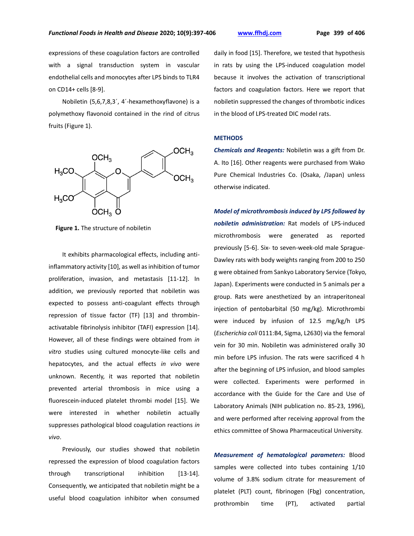expressions of these coagulation factors are controlled with a signal transduction system in vascular endothelial cells and monocytes after LPS binds to TLR4 on CD14+ cells [8-9].

Nobiletin (5,6,7,8,3´, 4´-hexamethoxyflavone) is a polymethoxy flavonoid contained in the rind of citrus fruits (Figure 1).



 **Figure 1.** The structure of nobiletin

It exhibits pharmacological effects, including antiinflammatory activity [10], as well as inhibition of tumor proliferation, invasion, and metastasis [11-12]. In addition, we previously reported that nobiletin was expected to possess anti-coagulant effects through repression of tissue factor (TF) [13] and thrombinactivatable fibrinolysis inhibitor (TAFI) expression [14]. However, all of these findings were obtained from *in vitro* studies using cultured monocyte-like cells and hepatocytes, and the actual effects *in vivo* were unknown. Recently, it was reported that nobiletin prevented arterial thrombosis in mice using a fluorescein-induced platelet thrombi model [15]. We were interested in whether nobiletin actually suppresses pathological blood coagulation reactions *in vivo*.

Previously, our studies showed that nobiletin repressed the expression of blood coagulation factors through transcriptional inhibition [13-14]. Consequently, we anticipated that nobiletin might be a useful blood coagulation inhibitor when consumed daily in food [15]. Therefore, we tested that hypothesis in rats by using the LPS-induced coagulation model because it involves the activation of transcriptional factors and coagulation factors. Here we report that nobiletin suppressed the changes of thrombotic indices in the blood of LPS-treated DIC model rats.

## **METHODS**

*Chemicals and Reagents:* Nobiletin was a gift from Dr. A. Ito [16]. Other reagents were purchased from Wako Pure Chemical Industries Co. (Osaka, /Japan) unless otherwise indicated.

*Model of microthrombosis induced by LPS followed by nobiletin administration:* Rat models of LPS-induced microthrombosis were generated as reported previously [5-6]. Six- to seven-week-old male Sprague-Dawley rats with body weights ranging from 200 to 250 g were obtained from Sankyo Laboratory Service (Tokyo, Japan). Experiments were conducted in 5 animals per a group. Rats were anesthetized by an intraperitoneal injection of pentobarbital (50 mg/kg). Microthrombi were induced by infusion of 12.5 mg/kg/h LPS (*Escherichia coli* 0111:B4, Sigma, L2630) via the femoral vein for 30 min. Nobiletin was administered orally 30 min before LPS infusion. The rats were sacrificed 4 h after the beginning of LPS infusion, and blood samples were collected. Experiments were performed in accordance with the Guide for the Care and Use of Laboratory Animals (NIH publication no. 85-23, 1996), and were performed after receiving approval from the ethics committee of Showa Pharmaceutical University.

*Measurement of hematological parameters:* Blood samples were collected into tubes containing 1/10 volume of 3.8% sodium citrate for measurement of platelet (PLT) count, fibrinogen (Fbg) concentration, prothrombin time (PT), activated partial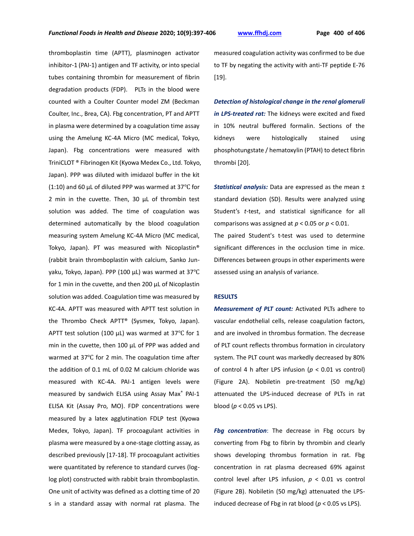thromboplastin time (APTT), plasminogen activator inhibitor-1 (PAI-1) antigen and TF activity, or into special tubes containing thrombin for measurement of fibrin degradation products (FDP). PLTs in the blood were counted with a Coulter Counter model ZM (Beckman Coulter, Inc., Brea, CA). Fbg concentration, PT and APTT in plasma were determined by a coagulation time assay using the Amelung KC-4A Micro (MC medical, Tokyo, Japan). Fbg concentrations were measured with TriniCLOT ® Fibrinogen Kit (Kyowa Medex Co., Ltd. Tokyo, Japan). PPP was diluted with imidazol buffer in the kit (1:10) and 60 µL of diluted PPP was warmed at 37℃ for 2 min in the cuvette. Then, 30  $\mu$ L of thrombin test solution was added. The time of coagulation was determined automatically by the blood coagulation measuring system Amelung KC-4A Micro (MC medical, Tokyo, Japan). PT was measured with Nicoplastin® (rabbit brain thromboplastin with calcium, Sanko Junyaku, Tokyo, Japan). PPP (100 µL) was warmed at 37℃ for 1 min in the cuvette, and then 200 µL of Nicoplastin solution was added. Coagulation time was measured by KC-4A. APTT was measured with APTT test solution in the Thrombo Check APTT® (Sysmex, Tokyo, Japan). APTT test solution (100  $\mu$ L) was warmed at 37°C for 1 min in the cuvette, then 100 µL of PPP was added and warmed at 37℃ for 2 min. The coagulation time after the addition of 0.1 mL of 0.02 M calcium chloride was measured with KC-4A. PAI-1 antigen levels were measured by sandwich ELISA using Assay Max® PAI-1 ELISA Kit (Assay Pro, MO). FDP concentrations were measured by a latex agglutination FDLP test (Kyowa Medex, Tokyo, Japan). TF procoagulant activities in plasma were measured by a one-stage clotting assay, as described previously [17-18]. TF procoagulant activities were quantitated by reference to standard curves (loglog plot) constructed with rabbit brain thromboplastin. One unit of activity was defined as a clotting time of 20 s in a standard assay with normal rat plasma. The

measured coagulation activity was confirmed to be due to TF by negating the activity with anti-TF peptide E-76 [19].

*Detection of histological change in the renal glomeruli in LPS-treated rat:* The kidneys were excited and fixed in 10% neutral buffered formalin. Sections of the kidneys were histologically stained using phosphotungstate / hematoxylin (PTAH) to detect fibrin thrombi [20].

*Statistical analysis:* Data are expressed as the mean ± standard deviation (SD). Results were analyzed using Student's *t*-test, and statistical significance for all comparisons was assigned at  $p < 0.05$  or  $p < 0.01$ . The paired Student's t-test was used to determine significant differences in the occlusion time in mice. Differences between groups in other experiments were assessed using an analysis of variance.

#### **RESULTS**

*Measurement of PLT count:* Activated PLTs adhere to vascular endothelial cells, release coagulation factors, and are involved in thrombus formation. The decrease of PLT count reflects thrombus formation in circulatory system. The PLT count was markedly decreased by 80% of control 4 h after LPS infusion (*p* < 0.01 vs control) (Figure 2A). Nobiletin pre-treatment (50 mg/kg) attenuated the LPS-induced decrease of PLTs in rat blood (*p* < 0.05 vs LPS).

*Fbg concentration*: The decrease in Fbg occurs by converting from Fbg to fibrin by thrombin and clearly shows developing thrombus formation in rat. Fbg concentration in rat plasma decreased 69% against control level after LPS infusion, *p* < 0.01 vs control (Figure 2B). Nobiletin (50 mg/kg) attenuated the LPSinduced decrease of Fbg in rat blood (*p* < 0.05 vs LPS).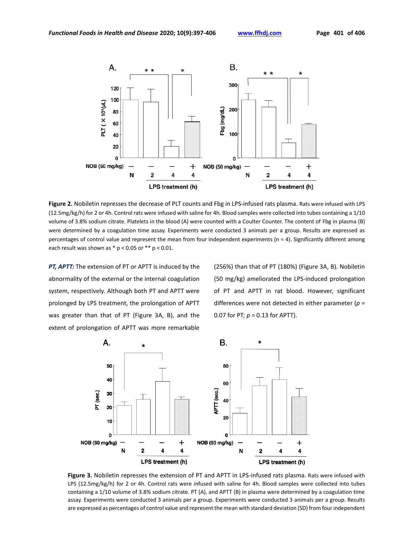

**Figure 2.** Nobiletin represses the decrease of PLT counts and Fbg in LPS-infused rats plasma. Rats were infused with LPS (12.5mg/kg/h) for 2 or 4h. Control rats were infused with saline for 4h. Blood samples were collected into tubes containing a 1/10 volume of 3.8% sodium citrate. Platelets in the blood (A) were counted with a Coulter Counter. The content of Fbg in plasma (B) were determined by a coagulation time assay. Experiments were conducted 3 animals per a group. Results are expressed as percentages of control value and represent the mean from four independent experiments ( $n = 4$ ). Significantly different among each result was shown as  $*$  p < 0.05 or  $**$  p < 0.01.

*PT, APTT:* The extension of PT or APTT is induced by the abnormality of the external or the internal coagulation system, respectively. Although both PT and APTT were prolonged by LPS treatment, the prolongation of APTT was greater than that of PT (Figure 3A, B), and the extent of prolongation of APTT was more remarkable (256%) than that of PT (180%) (Figure 3A, B). Nobiletin (50 mg/kg) ameliorated the LPS-induced prolongation of PT and APTT in rat blood. However, significant differences were not detected in either parameter (*p* = 0.07 for PT; *p* = 0.13 for APTT).



**Figure 3.** Nobiletin represses the extension of PT and APTT in LPS-infused rats plasma. Rats were infused with LPS (12.5mg/kg/h) for 2 or 4h. Control rats were infused with saline for 4h. Blood samples were collected into tubes containing a 1/10 volume of 3.8% sodium citrate. PT (A), and APTT (B) in plasma were determined by a coagulation time assay. Experiments were conducted 3 animals per a group. Experiments were conducted 3 animals per a group. Results are expressed as percentages of control value and represent the mean with standard deviation (SD) from four independent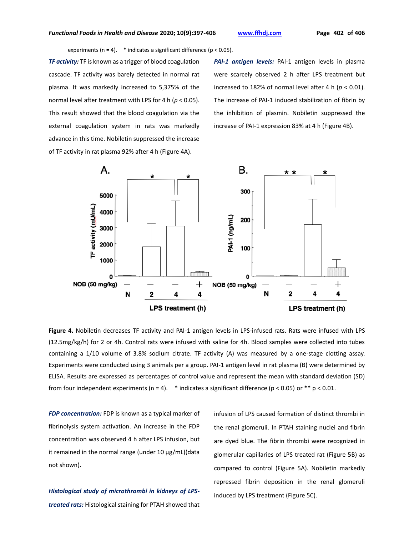experiments (n = 4).  $*$  indicates a significant difference (p < 0.05).

*TF activity:* TF is known as a trigger of blood coagulation cascade. TF activity was barely detected in normal rat plasma. It was markedly increased to 5,375% of the normal level after treatment with LPS for 4 h (*p* < 0.05). This result showed that the blood coagulation via the external coagulation system in rats was markedly advance in this time. Nobiletin suppressed the increase of TF activity in rat plasma 92% after 4 h (Figure 4A).

*PAI-1 antigen levels:* PAI-1 antigen levels in plasma were scarcely observed 2 h after LPS treatment but increased to 182% of normal level after 4 h ( $p < 0.01$ ). The increase of PAI-1 induced stabilization of fibrin by the inhibition of plasmin. Nobiletin suppressed the increase of PAI-1 expression 83% at 4 h (Figure 4B).



**Figure 4.** Nobiletin decreases TF activity and PAI-1 antigen levels in LPS-infused rats. Rats were infused with LPS (12.5mg/kg/h) for 2 or 4h. Control rats were infused with saline for 4h. Blood samples were collected into tubes containing a 1/10 volume of 3.8% sodium citrate. TF activity (A) was measured by a one-stage clotting assay. Experiments were conducted using 3 animals per a group. PAI-1 antigen level in rat plasma (B) were determined by ELISA. Results are expressed as percentages of control value and represent the mean with standard deviation (SD) from four independent experiments (n = 4). \* indicates a significant difference (p < 0.05) or \*\* p < 0.01.

*FDP concentration:* FDP is known as a typical marker of fibrinolysis system activation. An increase in the FDP concentration was observed 4 h after LPS infusion, but it remained in the normal range (under 10 µg/mL)(data not shown).

# *Histological study of microthrombi in kidneys of LPStreated rats:* Histological staining for PTAH showed that

infusion of LPS caused formation of distinct thrombi in the renal glomeruli. In PTAH staining nuclei and fibrin are dyed blue. The fibrin thrombi were recognized in glomerular capillaries of LPS treated rat (Figure 5B) as compared to control (Figure 5A). Nobiletin markedly repressed fibrin deposition in the renal glomeruli induced by LPS treatment (Figure 5C).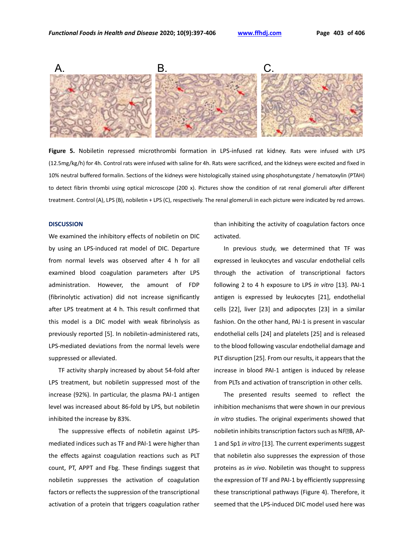

**Figure 5.** Nobiletin repressed microthrombi formation in LPS-infused rat kidney. Rats were infused with LPS (12.5mg/kg/h) for 4h. Control rats were infused with saline for 4h. Rats were sacrificed, and the kidneys were excited and fixed in 10% neutral buffered formalin. Sections of the kidneys were histologically stained using phosphotungstate / hematoxylin (PTAH) to detect fibrin thrombi using optical microscope (200 x). Pictures show the condition of rat renal glomeruli after different treatment. Control (A), LPS (B), nobiletin + LPS (C), respectively. The renal glomeruli in each picture were indicated by red arrows.

#### **DISCUSSION**

We examined the inhibitory effects of nobiletin on DIC by using an LPS-induced rat model of DIC. Departure from normal levels was observed after 4 h for all examined blood coagulation parameters after LPS administration. However, the amount of FDP (fibrinolytic activation) did not increase significantly after LPS treatment at 4 h. This result confirmed that this model is a DIC model with weak fibrinolysis as previously reported [5]. In nobiletin-administered rats, LPS-mediated deviations from the normal levels were suppressed or alleviated.

TF activity sharply increased by about 54-fold after LPS treatment, but nobiletin suppressed most of the increase (92%). In particular, the plasma PAI-1 antigen level was increased about 86-fold by LPS, but nobiletin inhibited the increase by 83%.

The suppressive effects of nobiletin against LPSmediated indices such as TF and PAI-1 were higher than the effects against coagulation reactions such as PLT count, PT, APPT and Fbg. These findings suggest that nobiletin suppresses the activation of coagulation factors or reflects the suppression of the transcriptional activation of a protein that triggers coagulation rather than inhibiting the activity of coagulation factors once activated.

In previous study, we determined that TF was expressed in leukocytes and vascular endothelial cells through the activation of transcriptional factors following 2 to 4 h exposure to LPS *in vitro* [13]. PAI-1 antigen is expressed by leukocytes [21], endothelial cells [22], liver [23] and adipocytes [23] in a similar fashion. On the other hand, PAI-1 is present in vascular endothelial cells [24] and platelets [25] and is released to the blood following vascular endothelial damage and PLT disruption [25]. From our results, it appears that the increase in blood PAI-1 antigen is induced by release from PLTs and activation of transcription in other cells.

The presented results seemed to reflect the inhibition mechanisms that were shown in our previous *in vitro* studies. The original experiments showed that nobiletin inhibits transcription factors such as NF<sup>E</sup>B, AP-1 and Sp1 *in vitro* [13]. The current experiments suggest that nobiletin also suppresses the expression of those proteins as *in vivo*. Nobiletin was thought to suppress the expression of TF and PAI-1 by efficiently suppressing these transcriptional pathways (Figure 4). Therefore, it seemed that the LPS-induced DIC model used here was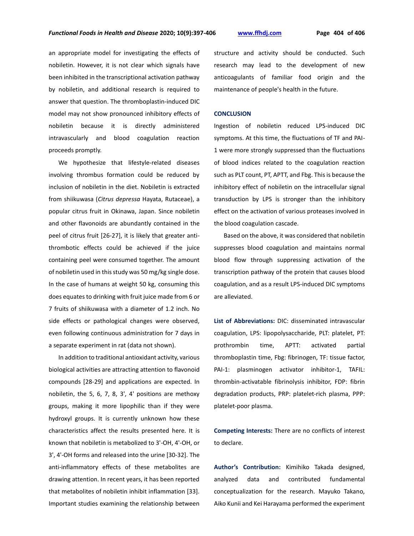an appropriate model for investigating the effects of nobiletin. However, it is not clear which signals have been inhibited in the transcriptional activation pathway by nobiletin, and additional research is required to answer that question. The thromboplastin-induced DIC model may not show pronounced inhibitory effects of nobiletin because it is directly administered intravascularly and blood coagulation reaction proceeds promptly.

We hypothesize that lifestyle-related diseases involving thrombus formation could be reduced by inclusion of nobiletin in the diet. Nobiletin is extracted from shiikuwasa (*Citrus depressa* Hayata, Rutaceae), a popular citrus fruit in Okinawa, Japan. Since nobiletin and other flavonoids are abundantly contained in the peel of citrus fruit [26-27], it is likely that greater antithrombotic effects could be achieved if the juice containing peel were consumed together. The amount of nobiletin used in this study was 50 mg/kg single dose. In the case of humans at weight 50 kg, consuming this does equates to drinking with fruit juice made from 6 or 7 fruits of shiikuwasa with a diameter of 1.2 inch. No side effects or pathological changes were observed, even following continuous administration for 7 days in a separate experiment in rat (data not shown).

In addition to traditional antioxidant activity, various biological activities are attracting attention to flavonoid compounds [28-29] and applications are expected. In nobiletin, the 5, 6, 7, 8, 3', 4' positions are methoxy groups, making it more lipophilic than if they were hydroxyl groups. It is currently unknown how these characteristics affect the results presented here. It is known that nobiletin is metabolized to 3'-OH, 4'-OH, or 3', 4'-OH forms and released into the urine [30-32]. The anti-inflammatory effects of these metabolites are drawing attention. In recent years, it has been reported that metabolites of nobiletin inhibit inflammation [33]. Important studies examining the relationship between structure and activity should be conducted. Such research may lead to the development of new anticoagulants of familiar food origin and the maintenance of people's health in the future.

#### **CONCLUSION**

Ingestion of nobiletin reduced LPS-induced DIC symptoms. At this time, the fluctuations of TF and PAI-1 were more strongly suppressed than the fluctuations of blood indices related to the coagulation reaction such as PLT count, PT, APTT, and Fbg. This is because the inhibitory effect of nobiletin on the intracellular signal transduction by LPS is stronger than the inhibitory effect on the activation of various proteases involved in the blood coagulation cascade.

Based on the above, it was considered that nobiletin suppresses blood coagulation and maintains normal blood flow through suppressing activation of the transcription pathway of the protein that causes blood coagulation, and as a result LPS-induced DIC symptoms are alleviated.

**List of Abbreviations:** DIC: disseminated intravascular coagulation, LPS: lipopolysaccharide, PLT: platelet, PT: prothrombin time, APTT: activated partial thromboplastin time, Fbg: fibrinogen, TF: tissue factor, PAI-1: plasminogen activator inhibitor-1, TAFIL: thrombin-activatable fibrinolysis inhibitor, FDP: fibrin degradation products, PRP: platelet-rich plasma, PPP: platelet-poor plasma.

**Competing Interests:** There are no conflicts of interest to declare.

**Author's Contribution:** Kimihiko Takada designed, analyzed data and contributed fundamental conceptualization for the research. Mayuko Takano, Aiko Kunii and Kei Harayama performed the experiment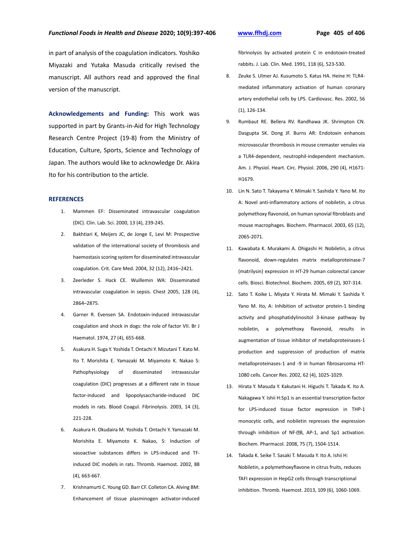in part of analysis of the coagulation indicators. Yoshiko Miyazaki and Yutaka Masuda critically revised the manuscript. All authors read and approved the final version of the manuscript.

**Acknowledgements and Funding:** This work was supported in part by Grants-in-Aid for High Technology Research Centre Project (19-8) from the Ministry of Education, Culture, Sports, Science and Technology of Japan. The authors would like to acknowledge Dr. Akira Ito for his contribution to the article.

#### **REFERENCES**

- 1. Mammen EF: Disseminated intravascular coagulation (DIC). Clin. Lab. Sci. 2000, 13 (4), 239-245.
- 2. Bakhtiari K, Meijers JC, de Jonge E, Levi M: Prospective validation of the international society of thrombosis and haemostasis scoring system for disseminated intravascular coagulation. Crit. Care Med. 2004, 32 (12), 2416–2421.
- 3. Zeerleder S. Hack CE. Wuillemin WA: Disseminated intravascular coagulation in sepsis. Chest 2005, 128 (4), 2864–2875.
- 4. Garner R. Evensen SA. Endotoxin-induced intravascular coagulation and shock in dogs: the role of factor VII. Br J Haematol. 1974, 27 (4), 655-668.
- 5. Asakura H. Suga Y. Yoshida T. Ontachi Y. Mizutani T. Kato M. Ito T. Morishita E. Yamazaki M. Miyamoto K. Nakao S: Pathophysiology of disseminated intravascular coagulation (DIC) progresses at a different rate in tissue factor-induced and lipopolysaccharide-induced DIC models in rats. Blood Coagul. Fibrinolysis. 2003, 14 (3), 221-228.
- 6. Asakura H. Okudaira M. Yoshida T. Ontachi Y. Yamazaki M. Morishita E. Miyamoto K. Nakao, S: Induction of vasoactive substances differs in LPS-induced and TFinduced DIC models in rats. Thromb. Haemost. 2002, 88 (4), 663-667.
- 7. Krishnamurti C. Young GD. Barr CF. Colleton CA. Alving BM: Enhancement of tissue plasminogen activator-induced

fibrinolysis by activated protein C in endotoxin-treated rabbits. J. Lab. Clin. Med. 1991, 118 (6), 523-530.

- 8. Zeuke S. Ulmer AJ. Kusumoto S. Katus HA. Heine H: TLR4 mediated inflammatory activation of human coronary artery endothelial cells by LPS. Cardiovasc. Res. 2002, 56 (1), 126-134.
- 9. Rumbaut RE. Bellera RV. Randhawa JK. Shrimpton CN. Dasgupta SK. Dong JF. Burns AR: Endotoxin enhances microvascular thrombosis in mouse cremaster venules via a TLR4-dependent, neutrophil-independent mechanism. Am. J. Physiol. Heart. Circ. Physiol. 2006, 290 (4), H1671- H1679.
- 10. Lin N. Sato T. Takayama Y. Mimaki Y. Sashida Y. Yano M. Ito A: Novel anti-inflammatory actions of nobiletin, a citrus polymethoxy flavonoid, on human synovial fibroblasts and mouse macrophages. Biochem. Pharmacol. 2003, 65 (12), 2065-2071.
- 11. Kawabata K. Murakami A. Ohigashi H: Nobiletin, a citrus flavonoid, down-regulates matrix metalloproteinase-7 (matrilysin) expression in HT-29 human colorectal cancer cells. Biosci. Biotechnol. Biochem. 2005, 69 (2), 307-314.
- 12. Sato T. Koike L. Miyata Y. Hirata M. Mimaki Y. Sashida Y. Yano M. Ito, A: Inhibition of activator protein-1 binding activity and phosphatidylinositol 3-kinase pathway by nobiletin, a polymethoxy flavonoid, results in augmentation of tissue inhibitor of metalloproteinases-1 production and suppression of production of matrix metalloproteinases-1 and -9 in human fibrosarcoma HT-1080 cells. Cancer Res. 2002, 62 (4), 1025-1029.
- 13. Hirata Y. Masuda Y. Kakutani H. Higuchi T. Takada K. Ito A. Nakagawa Y. Ishii H:Sp1 is an essential transcription factor for LPS-induced tissue factor expression in THP-1 monocytic cells, and nobiletin represses the expression through inhibition of NF-<sup>®</sup>B, AP-1, and Sp1 activation. Biochem. Pharmacol. 2008, 75 (7), 1504-1514.
- 14. Takada K. Seike T. Sasaki T. Masuda Y. Ito A. Ishii H: Nobiletin, a polymethoxyflavone in citrus fruits, reduces TAFI expression in HepG2 cells through transcriptional inhibition. Thromb. Haemost. 2013, 109 (6), 1060-1069.